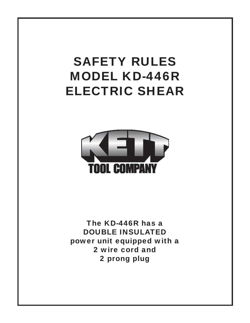# SAFETY RULES MODEL KD-446R ELECTRIC SHEAR



The KD-446R has a DOUBLE INSULATED power unit equipped with a 2 wire cord and 2 prong plug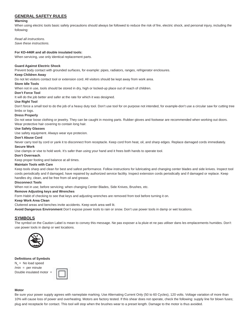# **GENERAL SAFETY RULES**

#### **Warning**

When using electric tools basic safety precautions should always be followed to reduce the risk of fire, electric shock, and personal injury, including the following:

*Read all instructions.* 

*Save these instructions.* 

#### **For KD-446R and all double insulated tools:**

When servicing, use only identical replacement parts.

#### **Guard Against Electric Shock**

Prevent body contact with grounded surfaces, for example: pipes, radiators, ranges, refrigerator enclosures.

#### **Keep Children Away**

Do not let visitors contact tool or extension cord. All visitors should be kept away from work area.

#### **Store Idle Tools**

When not in use, tools should be stored in dry, high or locked-up place out of reach of children.

# **Don't Force Tool**

It will do the job better and safer at the rate for which it was designed.

#### **Use Right Tool**

Don't force a small tool to do the job of a heavy duty tool. Don't use tool for on purpose not intended, for example-don't use a circular saw for cutting tree limbs or logs.

#### **Dress Properly**

Do not wear loose clothing or jewelry. They can be caught in moving parts. Rubber gloves and footwear are recommended when working out doors. Wear protective hair covering to contain long hair.

#### **Use Safety Glasses**

Use safety equipment. Always wear eye protecion.

#### **Don't Abuse Cord**

Never carry tool by cord or yank it to disconnect from receptacle. Keep cord from heat, oil, and sharp edges. Replace damaged cords immediately.

# **Secure Work**

Use clamps or vise to hold work. It's safer than using your hand and it frees both hands to operate tool.

#### **Don't Overreach**.

Keep proper footing and balance at all times.

#### **Maintain Tools with Care**

Keep tools sharp and clean for best and safest performance. Follow instructions for lubricating and changing center blades and side knives. Inspect tool cords periodically and if damaged, have repaired by authorized service facility. Inspect extension cords periodically and if damaged or replace. Keep handles dry, clean, and be free from oil and grease.

#### **Disconnect Tools**

When not in use; before servicing; when changing Center Blades, Side Knives, Brushes, etc.

#### **Remove Adjusting keys and Wrenches**

Form Habit of checking to see that keys and adjusting wrenches are removed from tool before turning it on.

#### **Keep Work Area Clean**

Cluttered areas and benches invite accidents. Keep work area well lit.

**Avoid Dangerous Environment** Don't expose power tools to rain or snow. Don't use power tools in damp or wet locations.

#### **SYMBOLS**

The symbol on the Caution Label is mean to convey this message. Ne pas exposer a la pluie et ne pas utiliser dans les emplacements humides. Don't use power tools in damp or wet locations.



#### **Defi nitions of Symbols**

 $N<sub>z</sub>$  = No load speed  $/min = per minute$ Double insulated motor =



#### **Motor**

Be sure your power supply agrees with nameplate marking. Use Alternating Current Only (50 to 60 Cycles), 120 volts. Voltage variation of more than 10% will cause loss of power and overheating. Motors are factory tested. If this shear does not operate, check the following: supply line for blown fuses; plug and receptacle for contact. This tool will stop when the brushes wear to a preset length. Damage to the motor is thus avoided.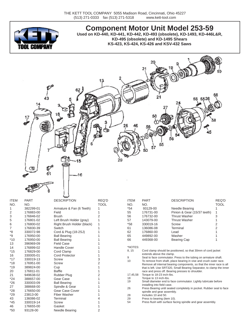

**Component Motor Unit Model 253-59 Used on KD-440, KD-441, KD-442, KD-493 (obsolete), KD-1493, KD-446L&R, KD-495 (obsolete) and KD-1495 Shears KS-423, KS-424, KS-426 and KSV-432 Saws**



|             |             | ~                          |             |             |                                                              |                                                                                                                                      |             |
|-------------|-------------|----------------------------|-------------|-------------|--------------------------------------------------------------|--------------------------------------------------------------------------------------------------------------------------------------|-------------|
| <b>ITEM</b> | <b>PART</b> | <b>DESCRIPTION</b>         | REQ'D       | <b>ITEM</b> | <b>PART</b>                                                  | <b>DESCRIPTION</b>                                                                                                                   | REQ'D       |
| NO.         | NO.         |                            | <b>TOOL</b> | NO.         | NO.                                                          |                                                                                                                                      | <b>TOOL</b> |
|             | 382299-01   | Armature & Fan (6 Teeth)   |             | $*54$       | 93129-00                                                     | Needle Bearing                                                                                                                       |             |
| 2           | 176883-00   | Field                      |             | 55          | 176731-00                                                    | Pinion & Gear (15/37 teeth)                                                                                                          |             |
| 3           | 176846-02   | <b>Brush</b>               |             | 56          | 176732-00                                                    | <b>Thrust Washer</b>                                                                                                                 | 3           |
| 5           | 176801-02   | Left Brush Holder (gray)   |             | 57          | 143079-00                                                    | <b>Thrust Washer</b>                                                                                                                 |             |
| 6           | 176800-02   | Right Brush Holder (black) |             | $*58$       | 330019-16                                                    | Screw                                                                                                                                | 2           |
| 7           | 176830-39   | Switch                     |             | 61          | 136086-08                                                    | Terminal                                                                                                                             |             |
| *8          | 330072-98   | Cord & Plug (18-2SJ)       |             | 62          | 176860-00                                                    | Lead                                                                                                                                 |             |
| *9          | 176950-00   | <b>Ball Bearing</b>        |             | 65          | 449892-00                                                    | Washer                                                                                                                               |             |
| *10         | 176950-00   | <b>Ball Bearing</b>        |             | 66          | 449368-00                                                    | <b>Bearing Cap</b>                                                                                                                   |             |
| 13          | 396969-09   | <b>Field Case</b>          |             |             |                                                              |                                                                                                                                      |             |
| 14          | 176899-02   | <b>Handle Cover</b>        |             | *NOTES:     |                                                              |                                                                                                                                      |             |
| *15         | 176829-00   | Cord Clamp                 |             | 8, 15       | Cord clamp should be positioned, so that 30mm of cord jacket |                                                                                                                                      |             |
| 16          | 330005-01   | Cord Protector             |             |             | extends above the clamp.                                     |                                                                                                                                      |             |
| *17         | 330019-13   | Screw                      |             | 9<br>10     |                                                              | Seal to face commutator. Press to the tubing on armature shaft.<br>To remove from shaft, place bearing in vise and crush outer race. |             |
| *18         | 176951-00   | Screw                      |             |             |                                                              | Remove all internal bearing components, so that the inner race is all                                                                |             |
| *19         | 389824-00   | Cup                        |             |             |                                                              | that is left. Use SRT320, Small Bearing Separator, to clamp the inner                                                                |             |
| 20          | 176811-01   | <b>Baffle</b>              |             |             |                                                              | race and press off. Bearing presses to shoulder.                                                                                     |             |
| 21          | 949638-02   | <b>Rubber Plug</b>         |             | 17,45,58    | Torque to 18-23 inch-lbs.                                    |                                                                                                                                      |             |
| $*24$       | 388657-00   | Gear Case                  |             | 18          | Torque to 13 inch-lbs.                                       |                                                                                                                                      |             |
| $*26$       | 330003-09   | <b>Ball Bearing</b>        |             | 19          |                                                              | Small diameter end to face commutator. Lightly lubricate before                                                                      |             |
| 27          | 388668-00   | Spindle & Gear             |             | 26          | installing into field case.                                  | Press Bearing until seated completely in pocket. Rubber seal to face                                                                 |             |
| *28         | 176650-00   | Gear Case Cover            |             |             | spindle and gear assembly.                                   |                                                                                                                                      |             |
| *29         | 23813-00    | <b>Fiber Washer</b>        |             | 28          | Includes 10 and 50.                                          |                                                                                                                                      |             |
| 43          | 136086-02   | Terminal                   |             | 29          | Press to bearing (item 10).                                  |                                                                                                                                      |             |
| *45         | 330019-14   | Screw                      |             | 54          | Press flush with surface facing spindle and gear assembly.   |                                                                                                                                      |             |
| 46          | 176655-00   | Gasket                     |             |             |                                                              |                                                                                                                                      |             |
| *50         | 93128-00    | Needle Bearing             | 2           |             |                                                              |                                                                                                                                      |             |
|             |             |                            |             |             |                                                              |                                                                                                                                      |             |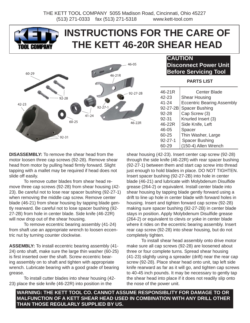

# **INSTRUCTIONS FOR THE CARE OF THE KETT 46-20R SHEAR HEAD**



# **CAUTION Disconnect Power Unit Before Servicing Tool**

# **PARTS LIST**

| 46-21R        | <b>Center Blade</b>               |
|---------------|-----------------------------------|
| 42-23         | <b>Shear Housing</b>              |
| 41-24         | <b>Eccentric Bearing Assembly</b> |
| 92-27-2B      | <b>Spacer Bushing</b>             |
| 92-28         | Cap Screw (3)                     |
| 92-31         | Knurled Insert (3)                |
| 46-22R        | Side Knife, Left                  |
| 46-05         | Spacer                            |
| 60-25         | Thin Washer, Large                |
| $92 - 27 - 1$ | <b>Spacer Bushing</b>             |
| 60-29         | (150-4) Allen Wrench              |

**DISASSEMBLY:** To remove the shear head from the motor loosen three cap screws (92-28). Remove shear head from motor by pulling head firmly forward. Slight tapping with a mallet may be required if head does not slide off easily.

 To remove cutter blades from shear head remove three cap screws (92-28) from shear housing (42- 23). Be careful not to lose rear spacer bushing (92-27-1) when removing the middle cap screw. Remove center blade (46-21) from shear housing by tapping blade gently rearward. Be careful not to lose spacer bushing (92- 27-2B) from hole in center blade. Side knife (46-22R) will now drop out of the shear housing.

 To remove eccentric bearing assembly (41-24) from shaft use an appropriate wrench to loosen eccentric nut by turning counter clockwise.

**ASSEMBLY:** To install eccentric bearing assembly (41- 24) onto shaft, make sure the large thin washer (60-25) is first inserted over the shaft. Screw eccentric bearing assembly on to shaft and tighten with appropriate wrench. Lubricate bearing with a good grade of bearing grease.

 To install cutter blades into shear housing (42- 23) place the side knife (46-22R) into position in the

shear housing (42-23). Insert center cap screw (92-28) through the side knife (46-22R) with rear spacer bushing (92-27-1) between them and start cap screw into thread just enough to hold blades in place. DO NOT TIGHTEN. Insert spacer bushing (92-27-2B) into hole in center blade (46-21) and lubricate with Molybdenum Disulfide grease (264-2) or equivalent. Install center blade into shear housing by tapping blade gently forward using a drift to line up hole in center blade with forward holes in housing. Insert and tighten forward cap screw (92-28) making sure spacer bushing (92-27-2B) in center blade stays in position. Apply Molybdenum Disulfide grease (264-2) or equivalent to clevis or yoke in center blade where it rides on the eccentric bearing assembly. Insert rear cap screw (92-28) into shear housing, but do not completely tighten.

 To install shear head assembly onto drive motor make sure all cap screws (92-28) are loosened about three or four complete turns. Spread shear housing (41-23) slightly using a spreader (drift) near the rear cap screw (92-28). Place shear head onto unit, tap left side knife rearward as far as it will go, and tighten cap screws to 40-45 inch pounds. It may be necessary to gently tap the shear head into place if it does not readily slip onto the nose of the power unit.

**WARNING: THE KETT TOOL CO. CANNOT ASSUME RESPONSIBLITY FOR DAMAGE TO OR MALFUNCTION OF A KETT SHEAR HEAD USED IN COMBINATION WITH ANY DRILL OTHER THAN THOSE REGULARLY SUPPLIED BY US.**